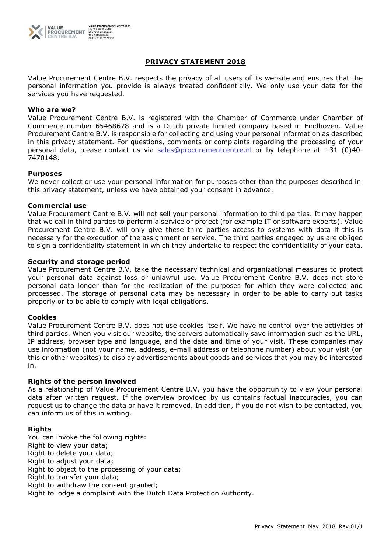

# **PRIVACY STATEMENT 2018**

Value Procurement Centre B.V. respects the privacy of all users of its website and ensures that the personal information you provide is always treated confidentially. We only use your data for the services you have requested.

## **Who are we?**

Value Procurement Centre B.V. is registered with the Chamber of Commerce under Chamber of Commerce number 65468678 and is a Dutch private limited company based in Eindhoven. Value Procurement Centre B.V. is responsible for collecting and using your personal information as described in this privacy statement. For questions, comments or complaints regarding the processing of your personal data, please contact us via sales@procurementcentre.nl or by telephone at +31 (0)40-7470148.

## **Purposes**

We never collect or use your personal information for purposes other than the purposes described in this privacy statement, unless we have obtained your consent in advance.

#### **Commercial use**

Value Procurement Centre B.V. will not sell your personal information to third parties. It may happen that we call in third parties to perform a service or project (for example IT or software experts). Value Procurement Centre B.V. will only give these third parties access to systems with data if this is necessary for the execution of the assignment or service. The third parties engaged by us are obliged to sign a confidentiality statement in which they undertake to respect the confidentiality of your data.

## **Security and storage period**

Value Procurement Centre B.V. take the necessary technical and organizational measures to protect your personal data against loss or unlawful use. Value Procurement Centre B.V. does not store personal data longer than for the realization of the purposes for which they were collected and processed. The storage of personal data may be necessary in order to be able to carry out tasks properly or to be able to comply with legal obligations.

#### **Cookies**

Value Procurement Centre B.V. does not use cookies itself. We have no control over the activities of third parties. When you visit our website, the servers automatically save information such as the URL, IP address, browser type and language, and the date and time of your visit. These companies may use information (not your name, address, e-mail address or telephone number) about your visit (on this or other websites) to display advertisements about goods and services that you may be interested in.

# **Rights of the person involved**

As a relationship of Value Procurement Centre B.V. you have the opportunity to view your personal data after written request. If the overview provided by us contains factual inaccuracies, you can request us to change the data or have it removed. In addition, if you do not wish to be contacted, you can inform us of this in writing.

# **Rights**

You can invoke the following rights: Right to view your data; Right to delete your data; Right to adjust your data; Right to object to the processing of your data; Right to transfer your data; Right to withdraw the consent granted; Right to lodge a complaint with the Dutch Data Protection Authority.